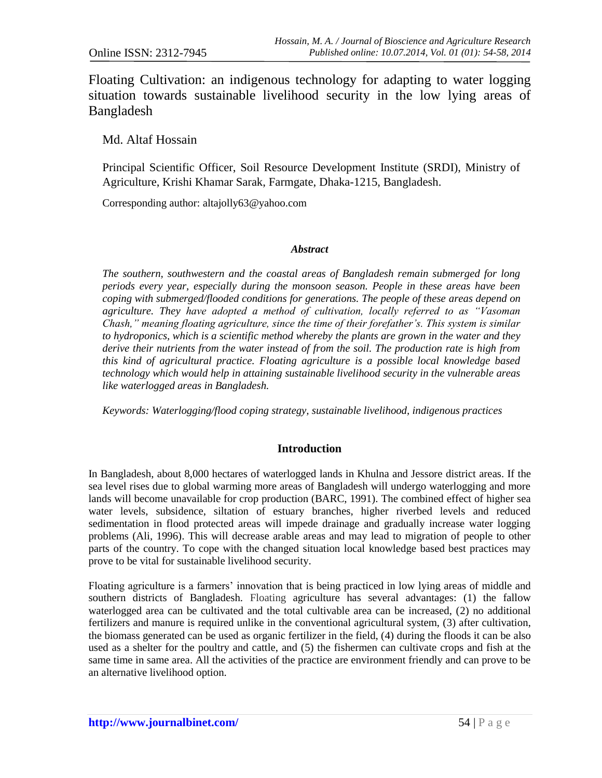Floating Cultivation: an indigenous technology for adapting to water logging situation towards sustainable livelihood security in the low lying areas of Bangladesh

Md. Altaf Hossain

Principal Scientific Officer, Soil Resource Development Institute (SRDI), Ministry of Agriculture, Krishi Khamar Sarak, Farmgate, Dhaka-1215, Bangladesh.

Corresponding author: [altajolly63@yahoo.com](mailto:altajolly63@yahoo.com)

#### *Abstract*

*The southern, southwestern and the coastal areas of Bangladesh remain submerged for long periods every year, especially during the monsoon season. People in these areas have been coping with submerged/flooded conditions for generations. The people of these areas depend on agriculture. They have adopted a method of cultivation, locally referred to as "Vasoman Chash," meaning floating agriculture, since the time of their forefather's. This system is similar to hydroponics, which is a scientific method whereby the plants are grown in the water and they derive their nutrients from the water instead of from the soil. The production rate is high from this kind of agricultural practice. Floating agriculture is a possible local knowledge based technology which would help in attaining sustainable livelihood security in the vulnerable areas like waterlogged areas in Bangladesh.* 

*Keywords: Waterlogging/flood coping strategy, sustainable livelihood, indigenous practices*

## **Introduction**

In Bangladesh, about 8,000 hectares of waterlogged lands in Khulna and Jessore district areas. If the sea level rises due to global warming more areas of Bangladesh will undergo waterlogging and more lands will become unavailable for crop production (BARC, 1991). The combined effect of higher sea water levels, subsidence, siltation of estuary branches, higher riverbed levels and reduced sedimentation in flood protected areas will impede drainage and gradually increase water logging problems (Ali, 1996). This will decrease arable areas and may lead to migration of people to other parts of the country. To cope with the changed situation local knowledge based best practices may prove to be vital for sustainable livelihood security.

Floating agriculture is a farmers' innovation that is being practiced in low lying areas of middle and southern districts of Bangladesh. Floating agriculture has several advantages: (1) the fallow waterlogged area can be cultivated and the total cultivable area can be increased, (2) no additional fertilizers and manure is required unlike in the conventional agricultural system, (3) after cultivation, the biomass generated can be used as organic fertilizer in the field, (4) during the floods it can be also used as a shelter for the poultry and cattle, and (5) the fishermen can cultivate crops and fish at the same time in same area. All the activities of the practice are environment friendly and can prove to be an alternative livelihood option.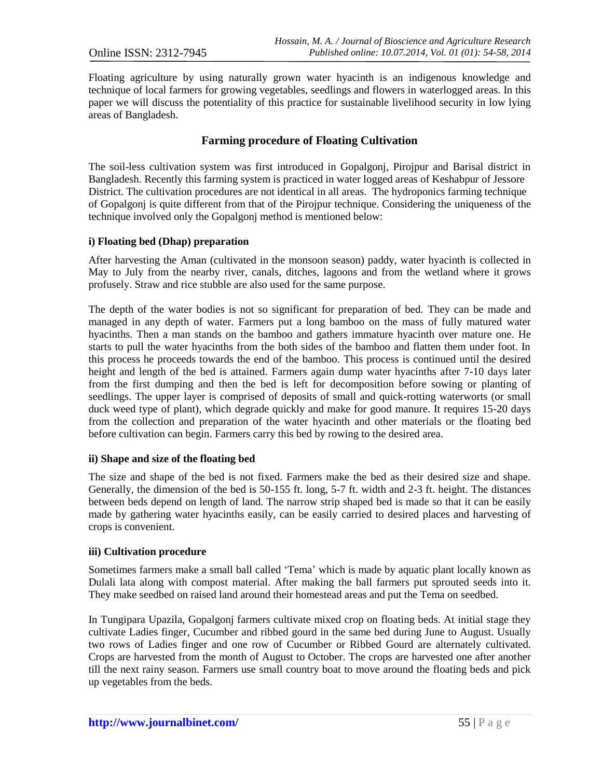Floating agriculture by using naturally grown water hyacinth is an indigenous knowledge and technique of local farmers for growing vegetables, seedlings and flowers in waterlogged areas. In this paper we will discuss the potentiality of this practice for sustainable livelihood security in low lying areas of Bangladesh.

# **Farming procedure of Floating Cultivation**

The soil-less cultivation system was first introduced in Gopalgonj, Pirojpur and Barisal district in Bangladesh. Recently this farming system is practiced in water logged areas of Keshabpur of Jessore District. The cultivation procedures are not identical in all areas. The hydroponics farming technique of Gopalgonj is quite different from that of the Pirojpur technique. Considering the uniqueness of the technique involved only the Gopalgonj method is mentioned below:

#### **i) Floating bed (Dhap) preparation**

After harvesting the Aman (cultivated in the monsoon season) paddy, water hyacinth is collected in May to July from the nearby river, canals, ditches, lagoons and from the wetland where it grows profusely. Straw and rice stubble are also used for the same purpose.

The depth of the water bodies is not so significant for preparation of bed. They can be made and managed in any depth of water. Farmers put a long bamboo on the mass of fully matured water hyacinths. Then a man stands on the bamboo and gathers immature hyacinth over mature one. He starts to pull the water hyacinths from the both sides of the bamboo and flatten them under foot. In this process he proceeds towards the end of the bamboo. This process is continued until the desired height and length of the bed is attained. Farmers again dump water hyacinths after 7-10 days later from the first dumping and then the bed is left for decomposition before sowing or planting of seedlings. The upper layer is comprised of deposits of small and quick-rotting waterworts (or small duck weed type of plant), which degrade quickly and make for good manure. It requires 15-20 days from the collection and preparation of the water hyacinth and other materials or the floating bed before cultivation can begin. Farmers carry this bed by rowing to the desired area.

#### **ii) Shape and size of the floating bed**

The size and shape of the bed is not fixed. Farmers make the bed as their desired size and shape. Generally, the dimension of the bed is 50-155 ft. long, 5-7 ft. width and 2-3 ft. height. The distances between beds depend on length of land. The narrow strip shaped bed is made so that it can be easily made by gathering water hyacinths easily, can be easily carried to desired places and harvesting of crops is convenient.

#### **iii) Cultivation procedure**

Sometimes farmers make a small ball called 'Tema' which is made by aquatic plant locally known as Dulali lata along with compost material. After making the ball farmers put sprouted seeds into it*.* They make seedbed on raised land around their homestead areas and put the Tema on seedbed.

In Tungipara Upazila, Gopalgonj farmers cultivate mixed crop on floating beds. At initial stage they cultivate Ladies finger, Cucumber and ribbed gourd in the same bed during June to August. Usually two rows of Ladies finger and one row of Cucumber or Ribbed Gourd are alternately cultivated. Crops are harvested from the month of August to October. The crops are harvested one after another till the next rainy season. Farmers use small country boat to move around the floating beds and pick up vegetables from the beds.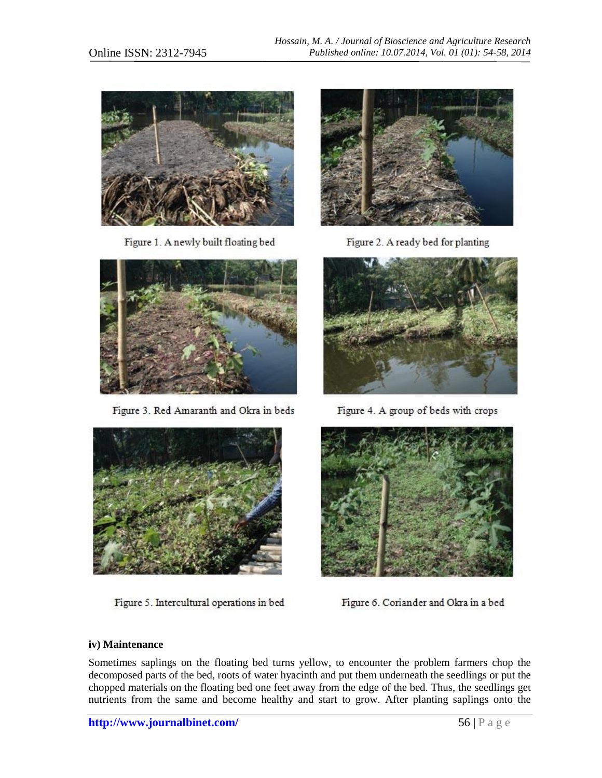

Figure 1. A newly built floating bed



Figure 3. Red Amaranth and Okra in beds



Figure 2. A ready bed for planting



Figure 4. A group of beds with crops



Figure 5. Intercultural operations in bed



Figure 6. Coriander and Okra in a bed

## **iv) Maintenance**

Sometimes saplings on the floating bed turns yellow, to encounter the problem farmers chop the decomposed parts of the bed, roots of water hyacinth and put them underneath the seedlings or put the chopped materials on the floating bed one feet away from the edge of the bed. Thus, the seedlings get nutrients from the same and become healthy and start to grow. After planting saplings onto the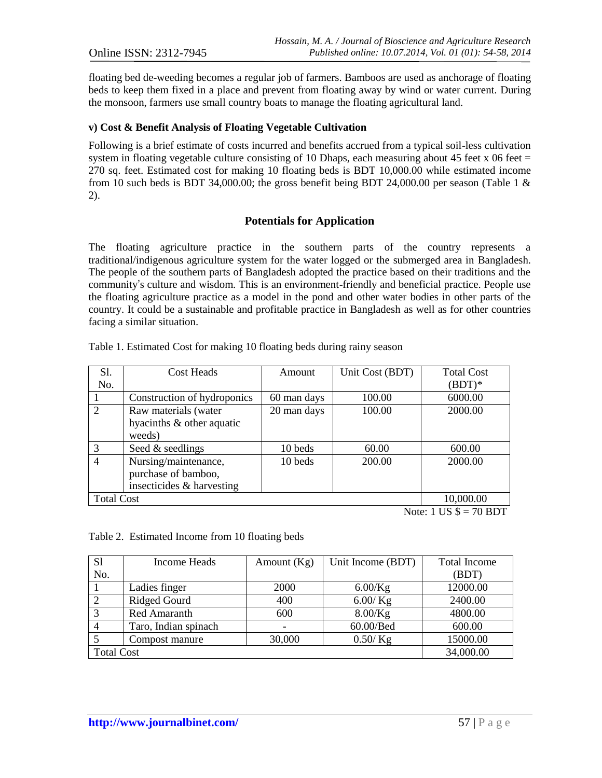floating bed de-weeding becomes a regular job of farmers. Bamboos are used as anchorage of floating beds to keep them fixed in a place and prevent from floating away by wind or water current. During the monsoon, farmers use small country boats to manage the floating agricultural land.

### **v) Cost & Benefit Analysis of Floating Vegetable Cultivation**

Following is a brief estimate of costs incurred and benefits accrued from a typical soil-less cultivation system in floating vegetable culture consisting of 10 Dhaps, each measuring about 45 feet x 06 feet  $=$ 270 sq. feet. Estimated cost for making 10 floating beds is BDT 10,000.00 while estimated income from 10 such beds is BDT 34,000.00; the gross benefit being BDT 24,000.00 per season (Table 1  $\&$ 2).

## **Potentials for Application**

The floating agriculture practice in the southern parts of the country represents a traditional/indigenous agriculture system for the water logged or the submerged area in Bangladesh. The people of the southern parts of Bangladesh adopted the practice based on their traditions and the community's culture and wisdom. This is an environment-friendly and beneficial practice. People use the floating agriculture practice as a model in the pond and other water bodies in other parts of the country. It could be a sustainable and profitable practice in Bangladesh as well as for other countries facing a similar situation.

| S1.               | Cost Heads                              | Amount      | Unit Cost (BDT) | <b>Total Cost</b> |  |  |
|-------------------|-----------------------------------------|-------------|-----------------|-------------------|--|--|
| No.               |                                         |             |                 | $(BDT)*$          |  |  |
|                   | Construction of hydroponics             | 60 man days | 100.00          | 6000.00           |  |  |
| $\overline{2}$    | Raw materials (water                    | 20 man days | 100.00          | 2000.00           |  |  |
|                   | hyacinths & other aquatic               |             |                 |                   |  |  |
|                   | weeds)                                  |             |                 |                   |  |  |
| 3                 | Seed & seedlings                        | 10 beds     | 60.00           | 600.00            |  |  |
| 4                 | Nursing/maintenance,                    | 10 beds     | 200.00          | 2000.00           |  |  |
|                   | purchase of bamboo,                     |             |                 |                   |  |  |
|                   | insecticides & harvesting               |             |                 |                   |  |  |
| <b>Total Cost</b> | 10,000.00                               |             |                 |                   |  |  |
|                   | $N_{\text{obs}}$ , 1 HC $\phi = 70$ DDT |             |                 |                   |  |  |

Table 1. Estimated Cost for making 10 floating beds during rainy season

Note:  $1 \text{ US } $=(10 \text{ BD})$ 

Table 2. Estimated Income from 10 floating beds

| S1                | Income Heads         | Amount $(Kg)$ | Unit Income (BDT) | <b>Total Income</b> |
|-------------------|----------------------|---------------|-------------------|---------------------|
| No.               |                      |               |                   | (BDT)               |
|                   | Ladies finger        | 2000          | $6.00$ /Kg        | 12000.00            |
|                   | <b>Ridged Gourd</b>  | 400           | $6.00$ /Kg        | 2400.00             |
|                   | <b>Red Amaranth</b>  | 600           | $8.00$ /Kg        | 4800.00             |
|                   | Taro, Indian spinach |               | 60.00/Bed         | 600.00              |
|                   | Compost manure       | 30,000        | $0.50 /$ Kg       | 15000.00            |
| <b>Total Cost</b> | 34,000.00            |               |                   |                     |